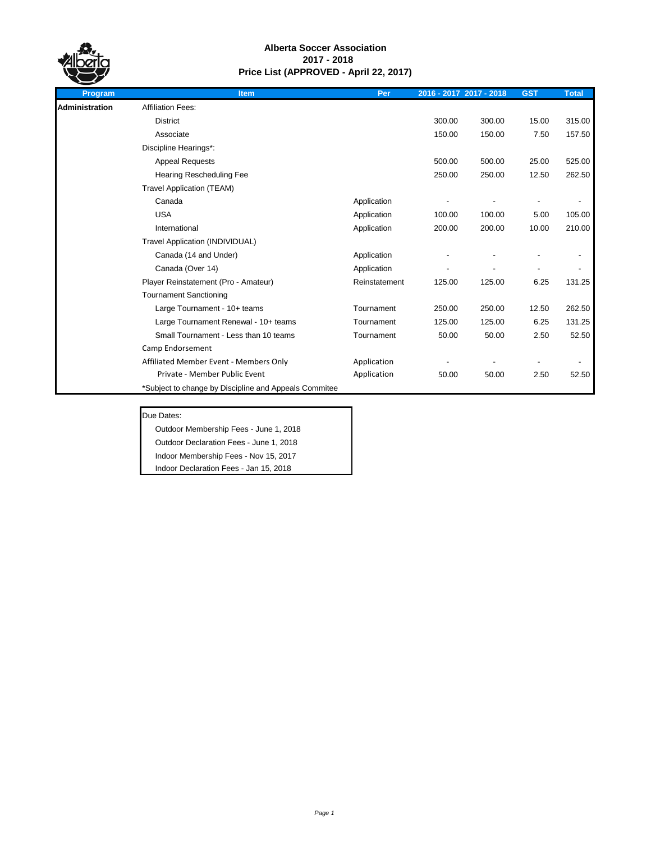

| Program        | <b>Item</b>                                           | Per           |        | 2016 - 2017 2017 - 2018 | <b>GST</b> | <b>Total</b> |
|----------------|-------------------------------------------------------|---------------|--------|-------------------------|------------|--------------|
| Administration | <b>Affiliation Fees:</b>                              |               |        |                         |            |              |
|                | <b>District</b>                                       |               | 300.00 | 300.00                  | 15.00      | 315.00       |
|                | Associate                                             |               | 150.00 | 150.00                  | 7.50       | 157.50       |
|                | Discipline Hearings*:                                 |               |        |                         |            |              |
|                | <b>Appeal Requests</b>                                |               | 500.00 | 500.00                  | 25.00      | 525.00       |
|                | <b>Hearing Rescheduling Fee</b>                       |               | 250.00 | 250.00                  | 12.50      | 262.50       |
|                | <b>Travel Application (TEAM)</b>                      |               |        |                         |            |              |
|                | Canada                                                | Application   |        |                         |            |              |
|                | <b>USA</b>                                            | Application   | 100.00 | 100.00                  | 5.00       | 105.00       |
|                | International                                         | Application   | 200.00 | 200.00                  | 10.00      | 210.00       |
|                | Travel Application (INDIVIDUAL)                       |               |        |                         |            |              |
|                | Canada (14 and Under)                                 | Application   |        |                         |            |              |
|                | Canada (Over 14)                                      | Application   |        |                         |            |              |
|                | Player Reinstatement (Pro - Amateur)                  | Reinstatement | 125.00 | 125.00                  | 6.25       | 131.25       |
|                | <b>Tournament Sanctioning</b>                         |               |        |                         |            |              |
|                | Large Tournament - 10+ teams                          | Tournament    | 250.00 | 250.00                  | 12.50      | 262.50       |
|                | Large Tournament Renewal - 10+ teams                  | Tournament    | 125.00 | 125.00                  | 6.25       | 131.25       |
|                | Small Tournament - Less than 10 teams                 | Tournament    | 50.00  | 50.00                   | 2.50       | 52.50        |
|                | Camp Endorsement                                      |               |        |                         |            |              |
|                | Affiliated Member Event - Members Only                | Application   |        |                         |            |              |
|                | Private - Member Public Event                         | Application   | 50.00  | 50.00                   | 2.50       | 52.50        |
|                | *Subject to change by Discipline and Appeals Commitee |               |        |                         |            |              |

#### Due Dates:

Outdoor Membership Fees - June 1, 2018

Outdoor Declaration Fees - June 1, 2018

Indoor Membership Fees - Nov 15, 2017 Indoor Declaration Fees - Jan 15, 2018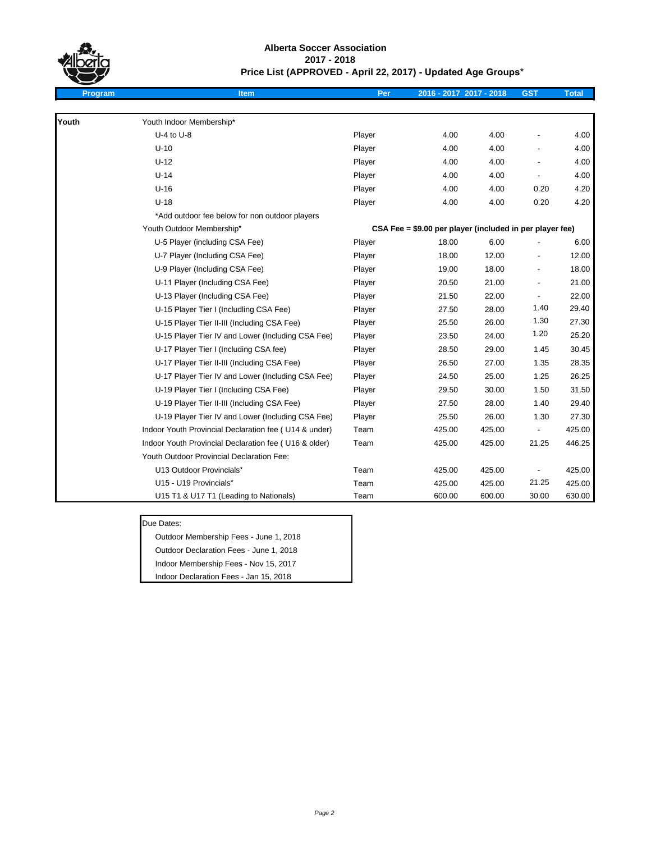

## **Alberta Soccer Association 2017 - 2018 Price List (APPROVED - April 22, 2017) - Updated Age Groups\***

| Program | <b>Item</b>                                           | Per    | 2016 - 2017 2017 - 2018                                  |        | <b>GST</b>    | <b>Total</b> |
|---------|-------------------------------------------------------|--------|----------------------------------------------------------|--------|---------------|--------------|
|         |                                                       |        |                                                          |        |               |              |
| Youth   | Youth Indoor Membership*                              |        |                                                          |        |               |              |
|         | $U-4$ to $U-8$                                        | Player | 4.00                                                     | 4.00   |               | 4.00         |
|         | $U-10$                                                | Player | 4.00                                                     | 4.00   |               | 4.00         |
|         | $U-12$                                                | Player | 4.00                                                     | 4.00   |               | 4.00         |
|         | $U-14$                                                | Player | 4.00                                                     | 4.00   |               | 4.00         |
|         | $U-16$                                                | Player | 4.00                                                     | 4.00   | 0.20          | 4.20         |
|         | $U-18$                                                | Player | 4.00                                                     | 4.00   | 0.20          | 4.20         |
|         | *Add outdoor fee below for non outdoor players        |        |                                                          |        |               |              |
|         | Youth Outdoor Membership*                             |        | CSA Fee = \$9.00 per player (included in per player fee) |        |               |              |
|         | U-5 Player (including CSA Fee)                        | Player | 18.00                                                    | 6.00   |               | 6.00         |
|         | U-7 Player (Including CSA Fee)                        | Player | 18.00                                                    | 12.00  |               | 12.00        |
|         | U-9 Player (Including CSA Fee)                        | Player | 19.00                                                    | 18.00  |               | 18.00        |
|         | U-11 Player (Including CSA Fee)                       | Player | 20.50                                                    | 21.00  |               | 21.00        |
|         | U-13 Player (Including CSA Fee)                       | Player | 21.50                                                    | 22.00  |               | 22.00        |
|         | U-15 Player Tier I (Includling CSA Fee)               | Player | 27.50                                                    | 28.00  | 1.40          | 29.40        |
|         | U-15 Player Tier II-III (Including CSA Fee)           | Player | 25.50                                                    | 26.00  | 1.30          | 27.30        |
|         | U-15 Player Tier IV and Lower (Including CSA Fee)     | Player | 23.50                                                    | 24.00  | 1.20          | 25.20        |
|         | U-17 Player Tier I (Including CSA fee)                | Player | 28.50                                                    | 29.00  | 1.45          | 30.45        |
|         | U-17 Player Tier II-III (Including CSA Fee)           | Player | 26.50                                                    | 27.00  | 1.35          | 28.35        |
|         | U-17 Player Tier IV and Lower (Including CSA Fee)     | Player | 24.50                                                    | 25.00  | 1.25          | 26.25        |
|         | U-19 Player Tier I (Including CSA Fee)                | Player | 29.50                                                    | 30.00  | 1.50          | 31.50        |
|         | U-19 Player Tier II-III (Including CSA Fee)           | Player | 27.50                                                    | 28.00  | 1.40          | 29.40        |
|         | U-19 Player Tier IV and Lower (Including CSA Fee)     | Player | 25.50                                                    | 26.00  | 1.30          | 27.30        |
|         | Indoor Youth Provincial Declaration fee (U14 & under) | Team   | 425.00                                                   | 425.00 | $\frac{1}{2}$ | 425.00       |
|         | Indoor Youth Provincial Declaration fee (U16 & older) | Team   | 425.00                                                   | 425.00 | 21.25         | 446.25       |
|         | Youth Outdoor Provincial Declaration Fee:             |        |                                                          |        |               |              |
|         | U13 Outdoor Provincials*                              | Team   | 425.00                                                   | 425.00 |               | 425.00       |
|         | U15 - U19 Provincials*                                | Team   | 425.00                                                   | 425.00 | 21.25         | 425.00       |
|         | U15 T1 & U17 T1 (Leading to Nationals)                | Team   | 600.00                                                   | 600.00 | 30.00         | 630.00       |

### Due Dates:

Outdoor Membership Fees - June 1, 2018 Outdoor Declaration Fees - June 1, 2018 Indoor Membership Fees - Nov 15, 2017

Indoor Declaration Fees - Jan 15, 2018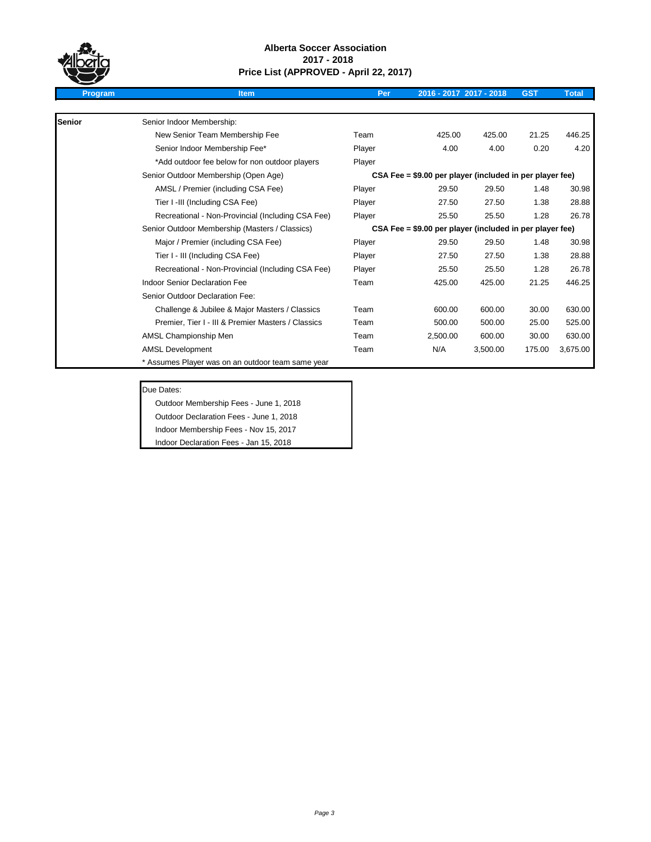

| <b>Program</b> | <b>Item</b>                                        | Per    |                                                          | 2016 - 2017 2017 - 2018 | <b>GST</b> | <b>Total</b> |
|----------------|----------------------------------------------------|--------|----------------------------------------------------------|-------------------------|------------|--------------|
|                |                                                    |        |                                                          |                         |            |              |
| <b>Senior</b>  | Senior Indoor Membership:                          |        |                                                          |                         |            |              |
|                | New Senior Team Membership Fee                     | Team   | 425.00                                                   | 425.00                  | 21.25      | 446.25       |
|                | Senior Indoor Membership Fee*                      | Player | 4.00                                                     | 4.00                    | 0.20       | 4.20         |
|                | *Add outdoor fee below for non outdoor players     | Player |                                                          |                         |            |              |
|                | Senior Outdoor Membership (Open Age)               |        | CSA Fee = \$9.00 per player (included in per player fee) |                         |            |              |
|                | AMSL / Premier (including CSA Fee)                 | Player | 29.50                                                    | 29.50                   | 1.48       | 30.98        |
|                | Tier I -III (Including CSA Fee)                    | Player | 27.50                                                    | 27.50                   | 1.38       | 28.88        |
|                | Recreational - Non-Provincial (Including CSA Fee)  | Player | 25.50                                                    | 25.50                   | 1.28       | 26.78        |
|                | Senior Outdoor Membership (Masters / Classics)     |        | CSA Fee = \$9.00 per player (included in per player fee) |                         |            |              |
|                | Major / Premier (including CSA Fee)                | Player | 29.50                                                    | 29.50                   | 1.48       | 30.98        |
|                | Tier I - III (Including CSA Fee)                   | Player | 27.50                                                    | 27.50                   | 1.38       | 28.88        |
|                | Recreational - Non-Provincial (Including CSA Fee)  | Player | 25.50                                                    | 25.50                   | 1.28       | 26.78        |
|                | Indoor Senior Declaration Fee                      | Team   | 425.00                                                   | 425.00                  | 21.25      | 446.25       |
|                | Senior Outdoor Declaration Fee:                    |        |                                                          |                         |            |              |
|                | Challenge & Jubilee & Major Masters / Classics     | Team   | 600.00                                                   | 600.00                  | 30.00      | 630.00       |
|                | Premier, Tier I - III & Premier Masters / Classics | Team   | 500.00                                                   | 500.00                  | 25.00      | 525.00       |
|                | AMSL Championship Men                              | Team   | 2,500.00                                                 | 600.00                  | 30.00      | 630.00       |
|                | <b>AMSL Development</b>                            | Team   | N/A                                                      | 3,500.00                | 175.00     | 3,675.00     |
|                | * Assumes Player was on an outdoor team same year  |        |                                                          |                         |            |              |

Due Dates:

Outdoor Membership Fees - June 1, 2018

Outdoor Declaration Fees - June 1, 2018

Indoor Membership Fees - Nov 15, 2017

Indoor Declaration Fees - Jan 15, 2018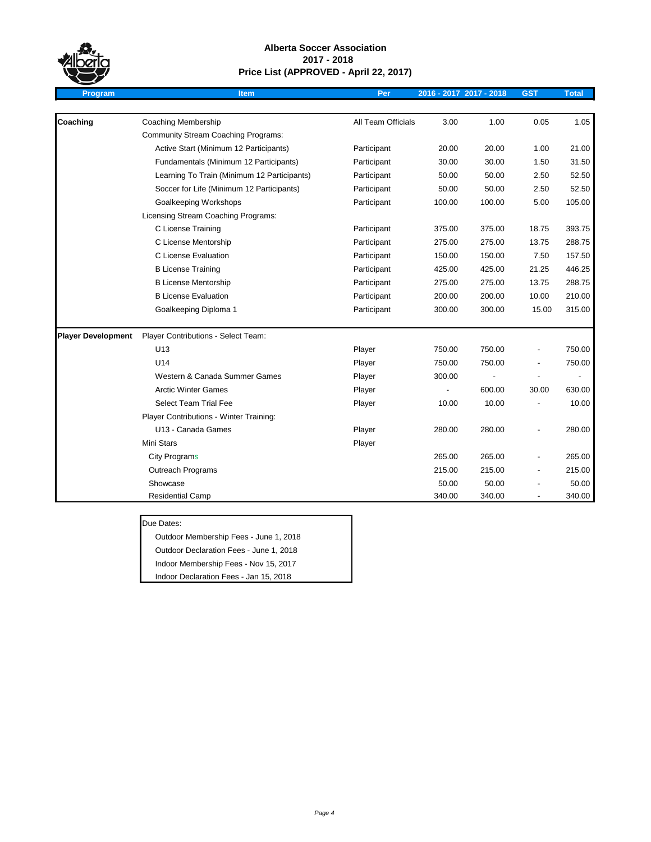

| Program                   | <b>Item</b>                                 | Per                |        | 2016 - 2017 2017 - 2018 | <b>GST</b> | <b>Total</b> |
|---------------------------|---------------------------------------------|--------------------|--------|-------------------------|------------|--------------|
|                           |                                             |                    |        |                         |            |              |
| Coaching                  | <b>Coaching Membership</b>                  | All Team Officials | 3.00   | 1.00                    | 0.05       | 1.05         |
|                           | <b>Community Stream Coaching Programs:</b>  |                    |        |                         |            |              |
|                           | Active Start (Minimum 12 Participants)      | Participant        | 20.00  | 20.00                   | 1.00       | 21.00        |
|                           | Fundamentals (Minimum 12 Participants)      | Participant        | 30.00  | 30.00                   | 1.50       | 31.50        |
|                           | Learning To Train (Minimum 12 Participants) | Participant        | 50.00  | 50.00                   | 2.50       | 52.50        |
|                           | Soccer for Life (Minimum 12 Participants)   | Participant        | 50.00  | 50.00                   | 2.50       | 52.50        |
|                           | Goalkeeping Workshops                       | Participant        | 100.00 | 100.00                  | 5.00       | 105.00       |
|                           | Licensing Stream Coaching Programs:         |                    |        |                         |            |              |
|                           | C License Training                          | Participant        | 375.00 | 375.00                  | 18.75      | 393.75       |
|                           | C License Mentorship                        | Participant        | 275.00 | 275.00                  | 13.75      | 288.75       |
|                           | C License Evaluation                        | Participant        | 150.00 | 150.00                  | 7.50       | 157.50       |
|                           | <b>B License Training</b>                   | Participant        | 425.00 | 425.00                  | 21.25      | 446.25       |
|                           | <b>B License Mentorship</b>                 | Participant        | 275.00 | 275.00                  | 13.75      | 288.75       |
|                           | <b>B License Evaluation</b>                 | Participant        | 200.00 | 200.00                  | 10.00      | 210.00       |
|                           | Goalkeeping Diploma 1                       | Participant        | 300.00 | 300.00                  | 15.00      | 315.00       |
| <b>Player Development</b> | Player Contributions - Select Team:         |                    |        |                         |            |              |
|                           | U <sub>13</sub>                             | Player             | 750.00 | 750.00                  |            | 750.00       |
|                           | U14                                         | Player             | 750.00 | 750.00                  |            | 750.00       |
|                           | Western & Canada Summer Games               | Player             | 300.00 |                         |            |              |
|                           | <b>Arctic Winter Games</b>                  | Player             |        | 600.00                  | 30.00      | 630.00       |
|                           | <b>Select Team Trial Fee</b>                | Player             | 10.00  | 10.00                   |            | 10.00        |
|                           | Player Contributions - Winter Training:     |                    |        |                         |            |              |
|                           | U13 - Canada Games                          | Player             | 280.00 | 280.00                  |            | 280.00       |
|                           | Mini Stars                                  | Player             |        |                         |            |              |
|                           | <b>City Programs</b>                        |                    | 265.00 | 265.00                  |            | 265.00       |
|                           | <b>Outreach Programs</b>                    |                    | 215.00 | 215.00                  |            | 215.00       |
|                           | Showcase                                    |                    | 50.00  | 50.00                   |            | 50.00        |
|                           | <b>Residential Camp</b>                     |                    | 340.00 | 340.00                  |            | 340.00       |

Due Dates:

Outdoor Membership Fees - June 1, 2018 Outdoor Declaration Fees - June 1, 2018

Indoor Membership Fees - Nov 15, 2017

Indoor Declaration Fees - Jan 15, 2018